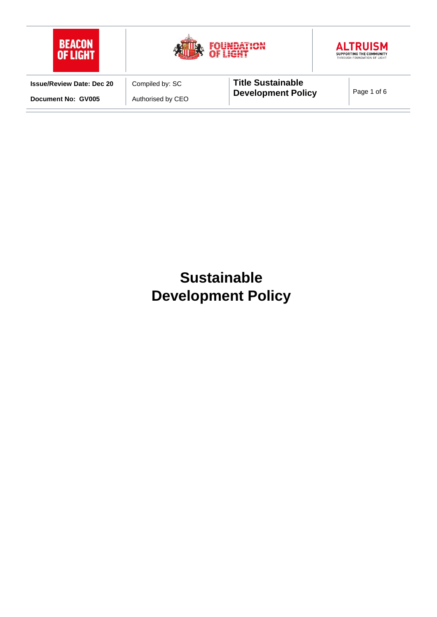

# **Sustainable Development Policy**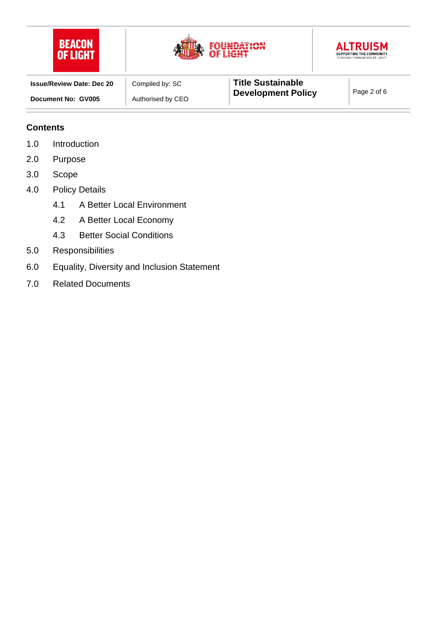





| <b>Issue/Review Date: Dec 20</b> | Compiled by: SC   | <b>Title Sustainable</b>  |             |
|----------------------------------|-------------------|---------------------------|-------------|
| Document No: GV005               | Authorised by CEO | <b>Development Policy</b> | Page 2 of 6 |

#### **Contents**

- 1.0 Introduction
- 2.0 Purpose
- 3.0 Scope
- 4.0 Policy Details
	- 4.1 A Better Local Environment
	- 4.2 A Better Local Economy
	- 4.3 Better Social Conditions
- 5.0 Responsibilities
- 6.0 Equality, Diversity and Inclusion Statement
- 7.0 Related Documents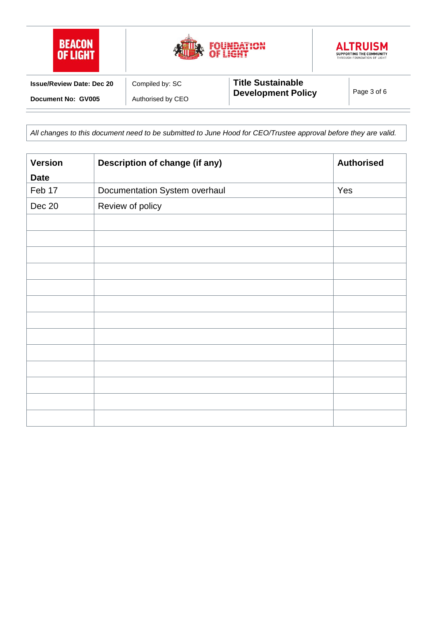

*All changes to this document need to be submitted to June Hood for CEO/Trustee approval before they are valid.*

| <b>Version</b> | Description of change (if any) | <b>Authorised</b> |
|----------------|--------------------------------|-------------------|
| <b>Date</b>    |                                |                   |
| Feb 17         | Documentation System overhaul  | Yes               |
| Dec 20         | Review of policy               |                   |
|                |                                |                   |
|                |                                |                   |
|                |                                |                   |
|                |                                |                   |
|                |                                |                   |
|                |                                |                   |
|                |                                |                   |
|                |                                |                   |
|                |                                |                   |
|                |                                |                   |
|                |                                |                   |
|                |                                |                   |
|                |                                |                   |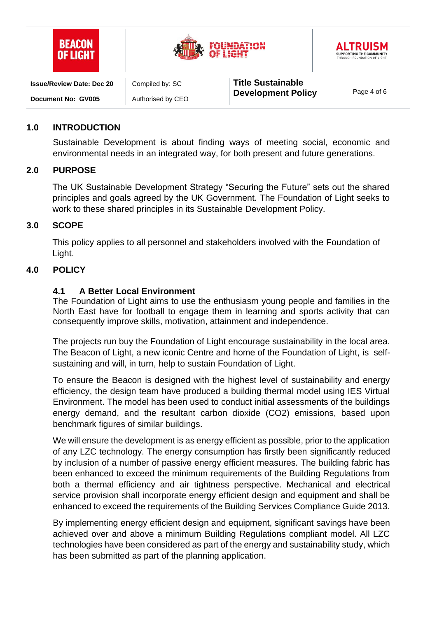| <b>BEACON</b><br>OF LIGHT        |                   | <b>JUNDATION</b><br>OF LIGHT                          | <b>ALTRUISM</b><br>SUPPORTING THE COMMUNITY<br>THROUGH FOUNDATION OF LIGHT |
|----------------------------------|-------------------|-------------------------------------------------------|----------------------------------------------------------------------------|
| <b>Issue/Review Date: Dec 20</b> | Compiled by: SC   | <b>Title Sustainable</b><br><b>Development Policy</b> |                                                                            |
| Document No: GV005               | Authorised by CEO |                                                       | Page 4 of 6                                                                |

#### **1.0 INTRODUCTION**

Sustainable Development is about finding ways of meeting social, economic and environmental needs in an integrated way, for both present and future generations.

## **2.0 PURPOSE**

The UK Sustainable Development Strategy "Securing the Future" sets out the shared principles and goals agreed by the UK Government. The Foundation of Light seeks to work to these shared principles in its Sustainable Development Policy.

## **3.0 SCOPE**

This policy applies to all personnel and stakeholders involved with the Foundation of Light.

## **4.0 POLICY**

## **4.1 A Better Local Environment**

The Foundation of Light aims to use the enthusiasm young people and families in the North East have for football to engage them in learning and sports activity that can consequently improve skills, motivation, attainment and independence.

The projects run buy the Foundation of Light encourage sustainability in the local area. The Beacon of Light, a new iconic Centre and home of the Foundation of Light, is selfsustaining and will, in turn, help to sustain Foundation of Light.

To ensure the Beacon is designed with the highest level of sustainability and energy efficiency, the design team have produced a building thermal model using IES Virtual Environment. The model has been used to conduct initial assessments of the buildings energy demand, and the resultant carbon dioxide (CO2) emissions, based upon benchmark figures of similar buildings.

We will ensure the development is as energy efficient as possible, prior to the application of any LZC technology. The energy consumption has firstly been significantly reduced by inclusion of a number of passive energy efficient measures. The building fabric has been enhanced to exceed the minimum requirements of the Building Regulations from both a thermal efficiency and air tightness perspective. Mechanical and electrical service provision shall incorporate energy efficient design and equipment and shall be enhanced to exceed the requirements of the Building Services Compliance Guide 2013.

By implementing energy efficient design and equipment, significant savings have been achieved over and above a minimum Building Regulations compliant model. All LZC technologies have been considered as part of the energy and sustainability study, which has been submitted as part of the planning application.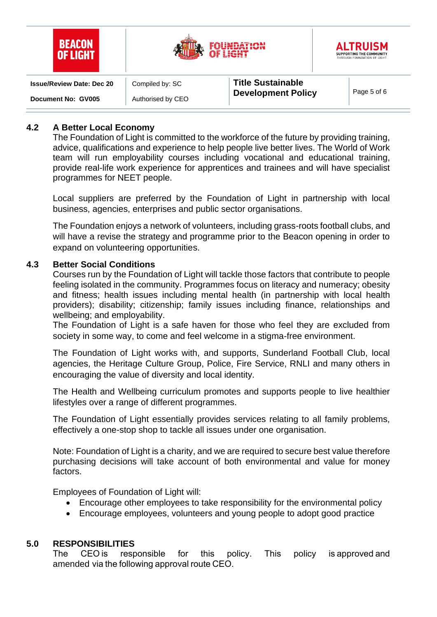| <b>BEACON</b><br>NE I IGHT       |                   |                           | <b>ALTRUISM</b><br>SUPPORTING THE COMMUNITY<br>THROUGH FOUNDATION OF LIGHT |
|----------------------------------|-------------------|---------------------------|----------------------------------------------------------------------------|
| <b>Issue/Review Date: Dec 20</b> | Compiled by: SC   | <b>Title Sustainable</b>  |                                                                            |
| Document No: GV005               | Authorised by CEO | <b>Development Policy</b> | Page 5 of 6                                                                |

## **4.2 A Better Local Economy**

The Foundation of Light is committed to the workforce of the future by providing training, advice, qualifications and experience to help people live better lives. The World of Work team will run employability courses including vocational and educational training, provide real-life work experience for apprentices and trainees and will have specialist programmes for NEET people.

Local suppliers are preferred by the Foundation of Light in partnership with local business, agencies, enterprises and public sector organisations.

The Foundation enjoys a network of volunteers, including grass-roots football clubs, and will have a revise the strategy and programme prior to the Beacon opening in order to expand on volunteering opportunities.

#### **4.3 Better Social Conditions**

Courses run by the Foundation of Light will tackle those factors that contribute to people feeling isolated in the community. Programmes focus on literacy and numeracy; obesity and fitness; health issues including mental health (in partnership with local health providers); disability; citizenship; family issues including finance, relationships and wellbeing; and employability.

The Foundation of Light is a safe haven for those who feel they are excluded from society in some way, to come and feel welcome in a stigma-free environment.

The Foundation of Light works with, and supports, Sunderland Football Club, local agencies, the Heritage Culture Group, Police, Fire Service, RNLI and many others in encouraging the value of diversity and local identity.

The Health and Wellbeing curriculum promotes and supports people to live healthier lifestyles over a range of different programmes.

The Foundation of Light essentially provides services relating to all family problems, effectively a one-stop shop to tackle all issues under one organisation.

Note: Foundation of Light is a charity, and we are required to secure best value therefore purchasing decisions will take account of both environmental and value for money factors.

Employees of Foundation of Light will:

- Encourage other employees to take responsibility for the environmental policy
- Encourage employees, volunteers and young people to adopt good practice

#### **5.0 RESPONSIBILITIES**

The CEO is responsible for this policy. This policy is approved and amended via the following approval route CEO.